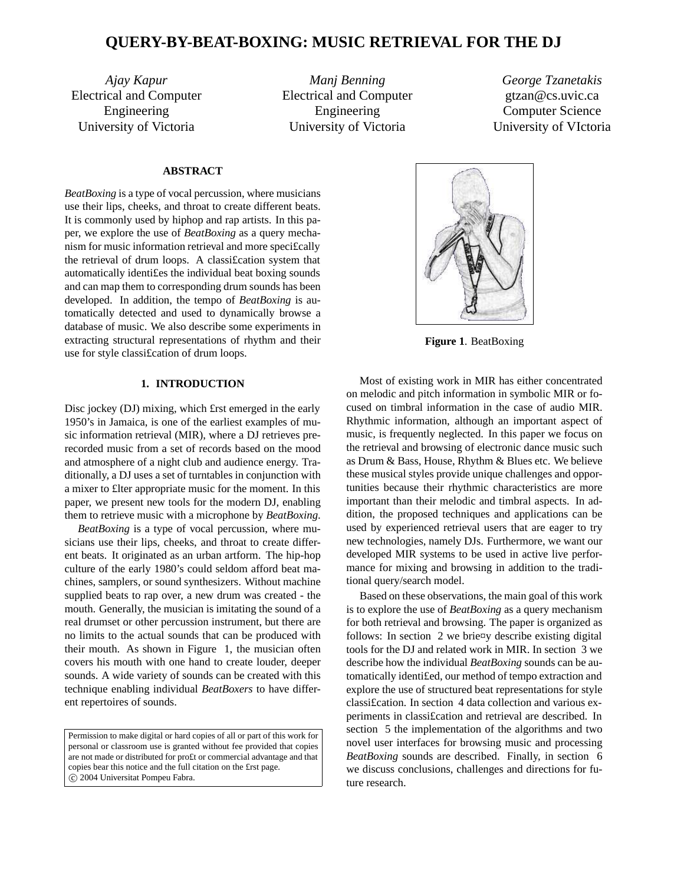# **QUERY-BY-BEAT-BOXING: MUSIC RETRIEVAL FOR THE DJ**

*Ajay Kapur* Electrical and Computer Engineering University of Victoria

*Manj Benning* Electrical and Computer Engineering University of Victoria

*George Tzanetakis* gtzan@cs.uvic.ca Computer Science University of VIctoria

# **ABSTRACT**

*BeatBoxing* is a type of vocal percussion, where musicians use their lips, cheeks, and throat to create different beats. It is commonly used by hiphop and rap artists. In this paper, we explore the use of *BeatBoxing* as a query mechanism for music information retrieval and more speci£cally the retrieval of drum loops. A classi£cation system that automatically identi£es the individual beat boxing sounds and can map them to corresponding drum sounds has been developed. In addition, the tempo of *BeatBoxing* is automatically detected and used to dynamically browse a database of music. We also describe some experiments in extracting structural representations of rhythm and their use for style classi£cation of drum loops.

## **1. INTRODUCTION**

Disc jockey (DJ) mixing, which £rst emerged in the early 1950's in Jamaica, is one of the earliest examples of music information retrieval (MIR), where a DJ retrieves prerecorded music from a set of records based on the mood and atmosphere of a night club and audience energy. Traditionally, a DJ uses a set of turntables in conjunction with a mixer to £lter appropriate music for the moment. In this paper, we present new tools for the modern DJ, enabling them to retrieve music with a microphone by *BeatBoxing*.

*BeatBoxing* is a type of vocal percussion, where musicians use their lips, cheeks, and throat to create different beats. It originated as an urban artform. The hip-hop culture of the early 1980's could seldom afford beat machines, samplers, or sound synthesizers. Without machine supplied beats to rap over, a new drum was created - the mouth. Generally, the musician is imitating the sound of a real drumset or other percussion instrument, but there are no limits to the actual sounds that can be produced with their mouth. As shown in Figure 1, the musician often covers his mouth with one hand to create louder, deeper sounds. A wide variety of sounds can be created with this technique enabling individual *BeatBoxers* to have different repertoires of sounds.

Permission to make digital or hard copies of all or part of this work for personal or classroom use is granted without fee provided that copies are not made or distributed for pro£t or commercial advantage and that copies bear this notice and the full citation on the £rst page. °c 2004 Universitat Pompeu Fabra.



**Figure 1**. BeatBoxing

Most of existing work in MIR has either concentrated on melodic and pitch information in symbolic MIR or focused on timbral information in the case of audio MIR. Rhythmic information, although an important aspect of music, is frequently neglected. In this paper we focus on the retrieval and browsing of electronic dance music such as Drum & Bass, House, Rhythm & Blues etc. We believe these musical styles provide unique challenges and opportunities because their rhythmic characteristics are more important than their melodic and timbral aspects. In addition, the proposed techniques and applications can be used by experienced retrieval users that are eager to try new technologies, namely DJs. Furthermore, we want our developed MIR systems to be used in active live performance for mixing and browsing in addition to the traditional query/search model.

Based on these observations, the main goal of this work is to explore the use of *BeatBoxing* as a query mechanism for both retrieval and browsing. The paper is organized as follows: In section 2 we brie¤y describe existing digital tools for the DJ and related work in MIR. In section 3 we describe how the individual *BeatBoxing* sounds can be automatically identi£ed, our method of tempo extraction and explore the use of structured beat representations for style classi£cation. In section 4 data collection and various experiments in classi£cation and retrieval are described. In section 5 the implementation of the algorithms and two novel user interfaces for browsing music and processing *BeatBoxing* sounds are described. Finally, in section 6 we discuss conclusions, challenges and directions for future research.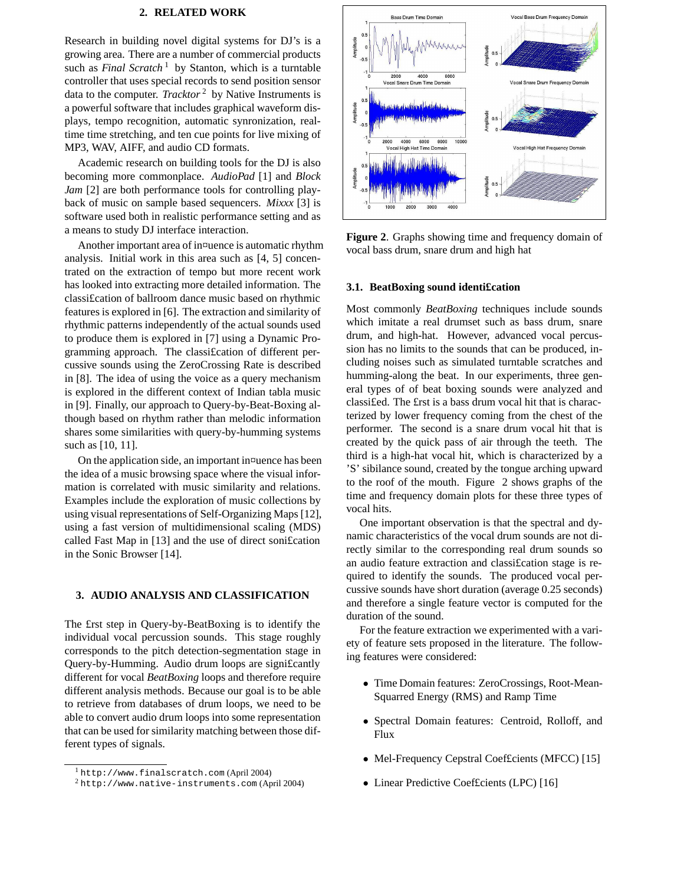## **2. RELATED WORK**

Research in building novel digital systems for DJ's is a growing area. There are a number of commercial products such as *Final Scratch* <sup>1</sup> by Stanton, which is a turntable controller that uses special records to send position sensor data to the computer. *Tracktor* <sup>2</sup> by Native Instruments is a powerful software that includes graphical waveform displays, tempo recognition, automatic synronization, realtime time stretching, and ten cue points for live mixing of MP3, WAV, AIFF, and audio CD formats.

Academic research on building tools for the DJ is also becoming more commonplace. *AudioPad* [1] and *Block Jam* [2] are both performance tools for controlling playback of music on sample based sequencers. *Mixxx* [3] is software used both in realistic performance setting and as a means to study DJ interface interaction.

Another important area of in¤uence is automatic rhythm analysis. Initial work in this area such as [4, 5] concentrated on the extraction of tempo but more recent work has looked into extracting more detailed information. The classi£cation of ballroom dance music based on rhythmic features is explored in [6]. The extraction and similarity of rhythmic patterns independently of the actual sounds used to produce them is explored in [7] using a Dynamic Programming approach. The classi£cation of different percussive sounds using the ZeroCrossing Rate is described in [8]. The idea of using the voice as a query mechanism is explored in the different context of Indian tabla music in [9]. Finally, our approach to Query-by-Beat-Boxing although based on rhythm rather than melodic information shares some similarities with query-by-humming systems such as [10, 11].

On the application side, an important in¤uence has been the idea of a music browsing space where the visual information is correlated with music similarity and relations. Examples include the exploration of music collections by using visual representations of Self-Organizing Maps[12], using a fast version of multidimensional scaling (MDS) called Fast Map in [13] and the use of direct soni£cation in the Sonic Browser [14].

## **3. AUDIO ANALYSIS AND CLASSIFICATION**

The £rst step in Query-by-BeatBoxing is to identify the individual vocal percussion sounds. This stage roughly corresponds to the pitch detection-segmentation stage in Query-by-Humming. Audio drum loops are signi£cantly different for vocal *BeatBoxing* loops and therefore require different analysis methods. Because our goal is to be able to retrieve from databases of drum loops, we need to be able to convert audio drum loops into some representation that can be used for similarity matching between those different types of signals.



**Figure 2**. Graphs showing time and frequency domain of vocal bass drum, snare drum and high hat

## **3.1. BeatBoxing sound identi£cation**

Most commonly *BeatBoxing* techniques include sounds which imitate a real drumset such as bass drum, snare drum, and high-hat. However, advanced vocal percussion has no limits to the sounds that can be produced, including noises such as simulated turntable scratches and humming-along the beat. In our experiments, three general types of of beat boxing sounds were analyzed and classi£ed. The £rst is a bass drum vocal hit that is characterized by lower frequency coming from the chest of the performer. The second is a snare drum vocal hit that is created by the quick pass of air through the teeth. The third is a high-hat vocal hit, which is characterized by a 'S' sibilance sound, created by the tongue arching upward to the roof of the mouth. Figure 2 shows graphs of the time and frequency domain plots for these three types of vocal hits.

One important observation is that the spectral and dynamic characteristics of the vocal drum sounds are not directly similar to the corresponding real drum sounds so an audio feature extraction and classi£cation stage is required to identify the sounds. The produced vocal percussive sounds have short duration (average 0.25 seconds) and therefore a single feature vector is computed for the duration of the sound.

For the feature extraction we experimented with a variety of feature sets proposed in the literature. The following features were considered:

- Time Domain features: ZeroCrossings, Root-Mean-Squarred Energy (RMS) and Ramp Time
- Spectral Domain features: Centroid, Rolloff, and Flux
- Mel-Frequency Cepstral Coefficients (MFCC) [15]
- Linear Predictive Coefficients (LPC) [16]

<sup>1</sup> http://www.finalscratch.com (April 2004)

 $2$  http://www.native-instruments.com (April 2004)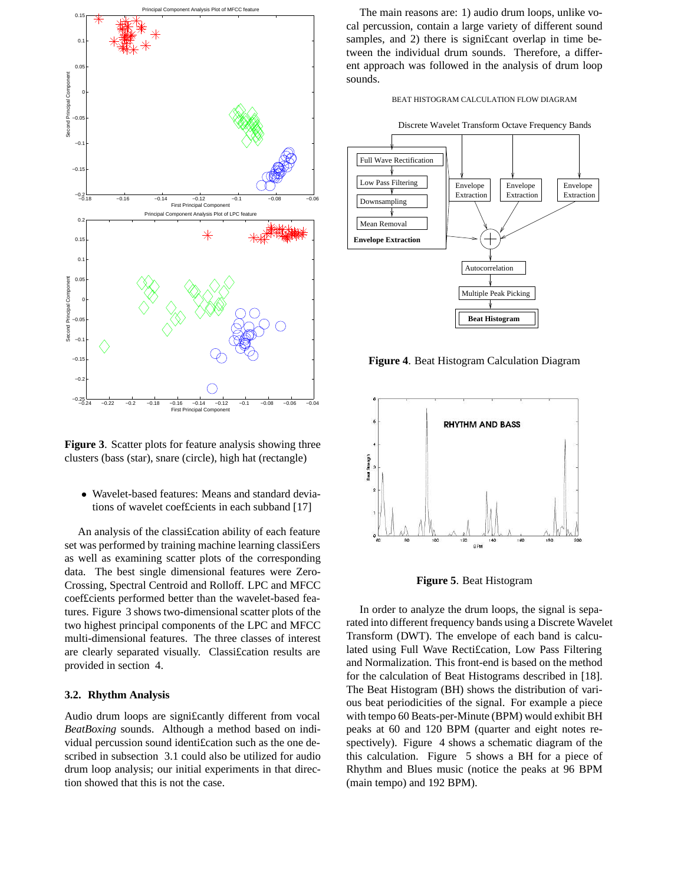

**Figure 3**. Scatter plots for feature analysis showing three clusters (bass (star), snare (circle), high hat (rectangle)

• Wavelet-based features: Means and standard deviations of wavelet coef£cients in each subband [17]

An analysis of the classi£cation ability of each feature set was performed by training machine learning classi£ers as well as examining scatter plots of the corresponding data. The best single dimensional features were Zero-Crossing, Spectral Centroid and Rolloff. LPC and MFCC coef£cients performed better than the wavelet-based features. Figure 3 shows two-dimensional scatter plots of the two highest principal components of the LPC and MFCC multi-dimensional features. The three classes of interest are clearly separated visually. Classi£cation results are provided in section 4.

## **3.2. Rhythm Analysis**

Audio drum loops are signi£cantly different from vocal *BeatBoxing* sounds. Although a method based on individual percussion sound identi£cation such as the one described in subsection 3.1 could also be utilized for audio drum loop analysis; our initial experiments in that direction showed that this is not the case.

The main reasons are: 1) audio drum loops, unlike vocal percussion, contain a large variety of different sound samples, and 2) there is significant overlap in time between the individual drum sounds. Therefore, a different approach was followed in the analysis of drum loop sounds.





**Figure 4**. Beat Histogram Calculation Diagram



**Figure 5**. Beat Histogram

In order to analyze the drum loops, the signal is separated into different frequency bands using a Discrete Wavelet Transform (DWT). The envelope of each band is calculated using Full Wave Recti£cation, Low Pass Filtering and Normalization. This front-end is based on the method for the calculation of Beat Histograms described in [18]. The Beat Histogram (BH) shows the distribution of various beat periodicities of the signal. For example a piece with tempo 60 Beats-per-Minute (BPM) would exhibit BH peaks at 60 and 120 BPM (quarter and eight notes respectively). Figure 4 shows a schematic diagram of the this calculation. Figure 5 shows a BH for a piece of Rhythm and Blues music (notice the peaks at 96 BPM (main tempo) and 192 BPM).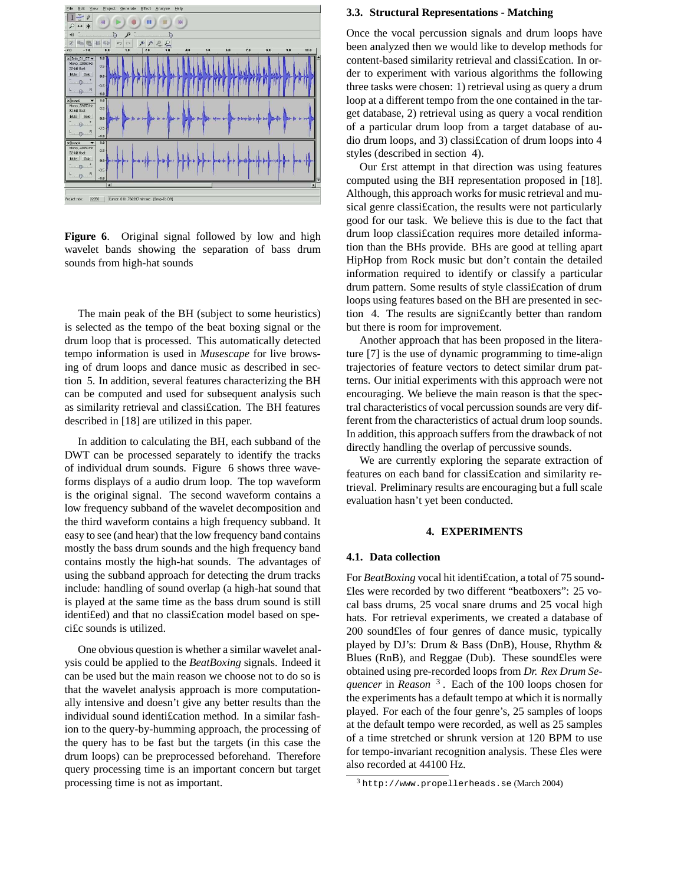

**Figure 6**. Original signal followed by low and high wavelet bands showing the separation of bass drum sounds from high-hat sounds

The main peak of the BH (subject to some heuristics) is selected as the tempo of the beat boxing signal or the drum loop that is processed. This automatically detected tempo information is used in *Musescape* for live browsing of drum loops and dance music as described in section 5. In addition, several features characterizing the BH can be computed and used for subsequent analysis such as similarity retrieval and classi£cation. The BH features described in [18] are utilized in this paper.

In addition to calculating the BH, each subband of the DWT can be processed separately to identify the tracks of individual drum sounds. Figure 6 shows three waveforms displays of a audio drum loop. The top waveform is the original signal. The second waveform contains a low frequency subband of the wavelet decomposition and the third waveform contains a high frequency subband. It easy to see (and hear) that the low frequency band contains mostly the bass drum sounds and the high frequency band contains mostly the high-hat sounds. The advantages of using the subband approach for detecting the drum tracks include: handling of sound overlap (a high-hat sound that is played at the same time as the bass drum sound is still identi£ed) and that no classi£cation model based on speci£c sounds is utilized.

One obvious question is whether a similar wavelet analysis could be applied to the *BeatBoxing* signals. Indeed it can be used but the main reason we choose not to do so is that the wavelet analysis approach is more computationally intensive and doesn't give any better results than the individual sound identi£cation method. In a similar fashion to the query-by-humming approach, the processing of the query has to be fast but the targets (in this case the drum loops) can be preprocessed beforehand. Therefore query processing time is an important concern but target processing time is not as important.

## **3.3. Structural Representations - Matching**

Once the vocal percussion signals and drum loops have been analyzed then we would like to develop methods for content-based similarity retrieval and classi£cation. In order to experiment with various algorithms the following three tasks were chosen: 1) retrieval using as query a drum loop at a different tempo from the one contained in the target database, 2) retrieval using as query a vocal rendition of a particular drum loop from a target database of audio drum loops, and 3) classi£cation of drum loops into 4 styles (described in section 4).

Our £rst attempt in that direction was using features computed using the BH representation proposed in [18]. Although, this approach works for music retrieval and musical genre classi£cation, the results were not particularly good for our task. We believe this is due to the fact that drum loop classi£cation requires more detailed information than the BHs provide. BHs are good at telling apart HipHop from Rock music but don't contain the detailed information required to identify or classify a particular drum pattern. Some results of style classi£cation of drum loops using features based on the BH are presented in section 4. The results are signi£cantly better than random but there is room for improvement.

Another approach that has been proposed in the literature [7] is the use of dynamic programming to time-align trajectories of feature vectors to detect similar drum patterns. Our initial experiments with this approach were not encouraging. We believe the main reason is that the spectral characteristics of vocal percussion sounds are very different from the characteristics of actual drum loop sounds. In addition, this approach suffers from the drawback of not directly handling the overlap of percussive sounds.

We are currently exploring the separate extraction of features on each band for classi£cation and similarity retrieval. Preliminary results are encouraging but a full scale evaluation hasn't yet been conducted.

#### **4. EXPERIMENTS**

#### **4.1. Data collection**

For *BeatBoxing* vocal hit identi£cation, a total of 75 sound-£les were recorded by two different "beatboxers": 25 vocal bass drums, 25 vocal snare drums and 25 vocal high hats. For retrieval experiments, we created a database of 200 sound£les of four genres of dance music, typically played by DJ's: Drum & Bass (DnB), House, Rhythm & Blues (RnB), and Reggae (Dub). These sound£les were obtained using pre-recorded loops from *Dr. Rex Drum Sequencer* in *Reason* <sup>3</sup> . Each of the 100 loops chosen for the experiments has a default tempo at which it is normally played. For each of the four genre's, 25 samples of loops at the default tempo were recorded, as well as 25 samples of a time stretched or shrunk version at 120 BPM to use for tempo-invariant recognition analysis. These £les were also recorded at 44100 Hz.

 $3$ http://www.propellerheads.se (March 2004)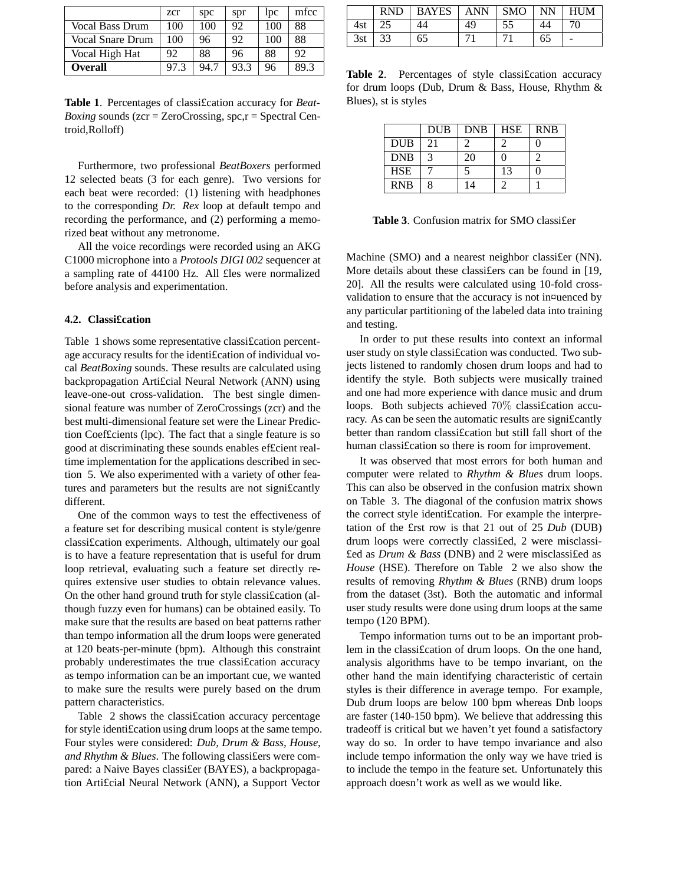|                  | zcr  | spc  | spr  | lpc | mfcc |
|------------------|------|------|------|-----|------|
| Vocal Bass Drum  | 100  | 100  | 92   | 100 | 88   |
| Vocal Snare Drum | 100  | 96   | 92   | 100 | 88   |
| Vocal High Hat   | 92   | 88   | 96   | 88  | 92   |
| <b>Overall</b>   | 97.3 | 94.7 | 93.3 | 96  | 89.3 |

**Table 1**. Percentages of classi£cation accuracy for *Beat-Boxing* sounds (zcr = ZeroCrossing, spc,r = Spectral Centroid,Rolloff)

Furthermore, two professional *BeatBoxers* performed 12 selected beats (3 for each genre). Two versions for each beat were recorded: (1) listening with headphones to the corresponding *Dr. Rex* loop at default tempo and recording the performance, and (2) performing a memorized beat without any metronome.

All the voice recordings were recorded using an AKG C1000 microphone into a *Protools DIGI 002* sequencer at a sampling rate of 44100 Hz. All £les were normalized before analysis and experimentation.

# **4.2. Classi£cation**

Table 1 shows some representative classi£cation percentage accuracy results for the identi£cation of individual vocal *BeatBoxing* sounds. These results are calculated using backpropagation Arti£cial Neural Network (ANN) using leave-one-out cross-validation. The best single dimensional feature was number of ZeroCrossings (zcr) and the best multi-dimensional feature set were the Linear Prediction Coef£cients (lpc). The fact that a single feature is so good at discriminating these sounds enables ef£cient realtime implementation for the applications described in section 5. We also experimented with a variety of other features and parameters but the results are not signi£cantly different.

One of the common ways to test the effectiveness of a feature set for describing musical content is style/genre classi£cation experiments. Although, ultimately our goal is to have a feature representation that is useful for drum loop retrieval, evaluating such a feature set directly requires extensive user studies to obtain relevance values. On the other hand ground truth for style classi£cation (although fuzzy even for humans) can be obtained easily. To make sure that the results are based on beat patterns rather than tempo information all the drum loops were generated at 120 beats-per-minute (bpm). Although this constraint probably underestimates the true classi£cation accuracy as tempo information can be an important cue, we wanted to make sure the results were purely based on the drum pattern characteristics.

Table 2 shows the classi£cation accuracy percentage for style identi£cation using drum loops at the same tempo. Four styles were considered: *Dub, Drum & Bass, House, and Rhythm & Blues*. The following classi£ers were compared: a Naive Bayes classi£er (BAYES), a backpropagation Arti£cial Neural Network (ANN), a Support Vector

|     | <b>RND</b> | BAYES | <b>ANN</b> | <b>SMO</b> | <b>NN</b> | <b>HUM</b> |
|-----|------------|-------|------------|------------|-----------|------------|
| 4st |            |       | 49         |            |           |            |
| 3st | っっ         | 65    |            |            | 65        |            |

Table 2. Percentages of style classification accuracy for drum loops (Dub, Drum & Bass, House, Rhythm & Blues), st is styles

|            | <b>DUB</b> | <b>DNB</b> | <b>HSE</b> | <b>RNB</b> |
|------------|------------|------------|------------|------------|
| <b>DUB</b> | 21         |            |            |            |
| <b>DNB</b> | 3          | 20         |            |            |
| <b>HSE</b> |            |            | 13         |            |
| <b>RNB</b> | 8          | 4          |            |            |

**Table 3**. Confusion matrix for SMO classi£er

Machine (SMO) and a nearest neighbor classi£er (NN). More details about these classi£ers can be found in [19, 20]. All the results were calculated using 10-fold crossvalidation to ensure that the accuracy is not in¤uenced by any particular partitioning of the labeled data into training and testing.

In order to put these results into context an informal user study on style classi£cation was conducted. Two subjects listened to randomly chosen drum loops and had to identify the style. Both subjects were musically trained and one had more experience with dance music and drum loops. Both subjects achieved 70% classification accuracy. As can be seen the automatic results are signi£cantly better than random classi£cation but still fall short of the human classi£cation so there is room for improvement.

It was observed that most errors for both human and computer were related to *Rhythm & Blues* drum loops. This can also be observed in the confusion matrix shown on Table 3. The diagonal of the confusion matrix shows the correct style identi£cation. For example the interpretation of the £rst row is that 21 out of 25 *Dub* (DUB) drum loops were correctly classi£ed, 2 were misclassi- £ed as *Drum & Bass* (DNB) and 2 were misclassi£ed as *House* (HSE). Therefore on Table 2 we also show the results of removing *Rhythm & Blues* (RNB) drum loops from the dataset (3st). Both the automatic and informal user study results were done using drum loops at the same tempo (120 BPM).

Tempo information turns out to be an important problem in the classi£cation of drum loops. On the one hand, analysis algorithms have to be tempo invariant, on the other hand the main identifying characteristic of certain styles is their difference in average tempo. For example, Dub drum loops are below 100 bpm whereas Dnb loops are faster (140-150 bpm). We believe that addressing this tradeoff is critical but we haven't yet found a satisfactory way do so. In order to have tempo invariance and also include tempo information the only way we have tried is to include the tempo in the feature set. Unfortunately this approach doesn't work as well as we would like.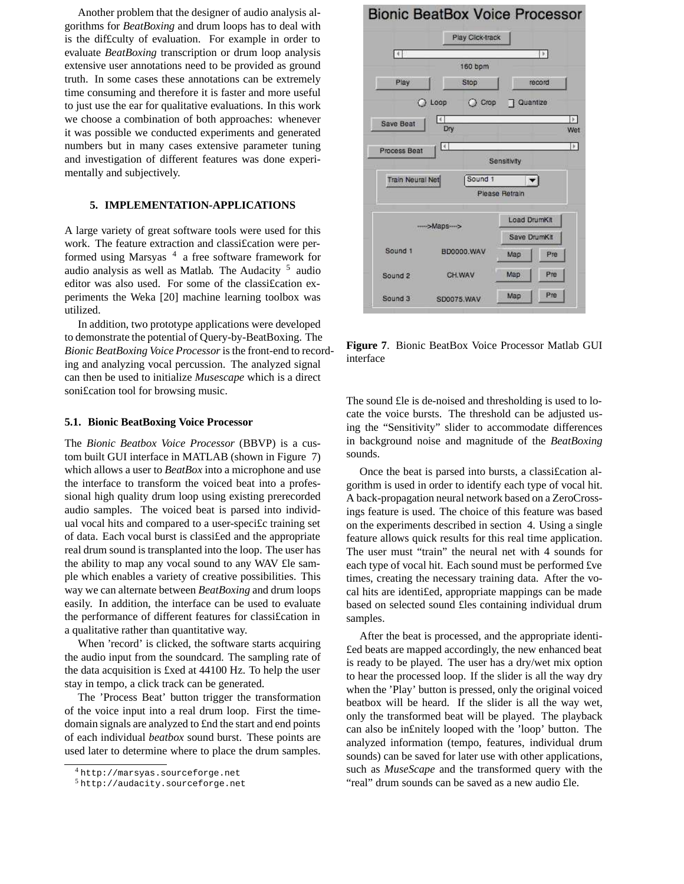Another problem that the designer of audio analysis algorithms for *BeatBoxing* and drum loops has to deal with is the dif£culty of evaluation. For example in order to evaluate *BeatBoxing* transcription or drum loop analysis extensive user annotations need to be provided as ground truth. In some cases these annotations can be extremely time consuming and therefore it is faster and more useful to just use the ear for qualitative evaluations. In this work we choose a combination of both approaches: whenever it was possible we conducted experiments and generated numbers but in many cases extensive parameter tuning and investigation of different features was done experimentally and subjectively.

# **5. IMPLEMENTATION-APPLICATIONS**

A large variety of great software tools were used for this work. The feature extraction and classi£cation were performed using Marsyas<sup>4</sup> a free software framework for audio analysis as well as Matlab. The Audacity <sup>5</sup> audio editor was also used. For some of the classi£cation experiments the Weka [20] machine learning toolbox was utilized.

In addition, two prototype applications were developed to demonstrate the potential of Query-by-BeatBoxing. The *Bionic BeatBoxing Voice Processor*isthe front-end to recording and analyzing vocal percussion. The analyzed signal can then be used to initialize *Musescape* which is a direct soni£cation tool for browsing music.

#### **5.1. Bionic BeatBoxing Voice Processor**

The *Bionic Beatbox Voice Processor* (BBVP) is a custom built GUI interface in MATLAB (shown in Figure 7) which allows a user to *BeatBox* into a microphone and use the interface to transform the voiced beat into a professional high quality drum loop using existing prerecorded audio samples. The voiced beat is parsed into individual vocal hits and compared to a user-speci£c training set of data. Each vocal burst is classi£ed and the appropriate real drum sound is transplanted into the loop. The user has the ability to map any vocal sound to any WAV £le sample which enables a variety of creative possibilities. This way we can alternate between *BeatBoxing* and drum loops easily. In addition, the interface can be used to evaluate the performance of different features for classi£cation in a qualitative rather than quantitative way.

When 'record' is clicked, the software starts acquiring the audio input from the soundcard. The sampling rate of the data acquisition is £xed at 44100 Hz. To help the user stay in tempo, a click track can be generated.

The 'Process Beat' button trigger the transformation of the voice input into a real drum loop. First the timedomain signals are analyzed to £nd the start and end points of each individual *beatbox* sound burst. These points are used later to determine where to place the drum samples.

# **Bionic BeatBox Voice Processor**



**Figure 7**. Bionic BeatBox Voice Processor Matlab GUI interface

The sound £le is de-noised and thresholding is used to locate the voice bursts. The threshold can be adjusted using the "Sensitivity" slider to accommodate differences in background noise and magnitude of the *BeatBoxing* sounds.

Once the beat is parsed into bursts, a classi£cation algorithm is used in order to identify each type of vocal hit. A back-propagation neural network based on a ZeroCrossings feature is used. The choice of this feature was based on the experiments described in section 4. Using a single feature allows quick results for this real time application. The user must "train" the neural net with 4 sounds for each type of vocal hit. Each sound must be performed £ve times, creating the necessary training data. After the vocal hits are identi£ed, appropriate mappings can be made based on selected sound £les containing individual drum samples.

After the beat is processed, and the appropriate identi- £ed beats are mapped accordingly, the new enhanced beat is ready to be played. The user has a dry/wet mix option to hear the processed loop. If the slider is all the way dry when the 'Play' button is pressed, only the original voiced beatbox will be heard. If the slider is all the way wet, only the transformed beat will be played. The playback can also be in£nitely looped with the 'loop' button. The analyzed information (tempo, features, individual drum sounds) can be saved for later use with other applications, such as *MuseScape* and the transformed query with the "real" drum sounds can be saved as a new audio £le.

<sup>4</sup> http://marsyas.sourceforge.net

<sup>5</sup> http://audacity.sourceforge.net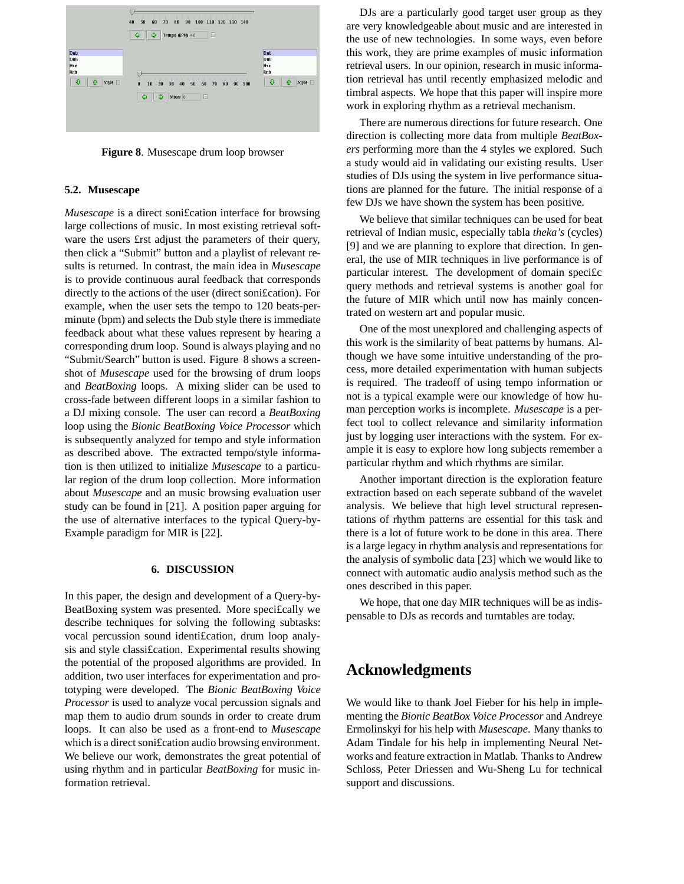

**Figure 8**. Musescape drum loop browser

### **5.2. Musescape**

*Musescape* is a direct soni£cation interface for browsing large collections of music. In most existing retrieval software the users £rst adjust the parameters of their query, then click a "Submit" button and a playlist of relevant results is returned. In contrast, the main idea in *Musescape* is to provide continuous aural feedback that corresponds directly to the actions of the user (direct soni£cation). For example, when the user sets the tempo to 120 beats-perminute (bpm) and selects the Dub style there is immediate feedback about what these values represent by hearing a corresponding drum loop. Sound is always playing and no "Submit/Search" button is used. Figure 8 shows a screenshot of *Musescape* used for the browsing of drum loops and *BeatBoxing* loops. A mixing slider can be used to cross-fade between different loops in a similar fashion to a DJ mixing console. The user can record a *BeatBoxing* loop using the *Bionic BeatBoxing Voice Processor* which is subsequently analyzed for tempo and style information as described above. The extracted tempo/style information is then utilized to initialize *Musescape* to a particular region of the drum loop collection. More information about *Musescape* and an music browsing evaluation user study can be found in [21]. A position paper arguing for the use of alternative interfaces to the typical Query-by-Example paradigm for MIR is [22].

## **6. DISCUSSION**

In this paper, the design and development of a Query-by-BeatBoxing system was presented. More speci£cally we describe techniques for solving the following subtasks: vocal percussion sound identi£cation, drum loop analysis and style classi£cation. Experimental results showing the potential of the proposed algorithms are provided. In addition, two user interfaces for experimentation and prototyping were developed. The *Bionic BeatBoxing Voice Processor* is used to analyze vocal percussion signals and map them to audio drum sounds in order to create drum loops. It can also be used as a front-end to *Musescape* which is a direct soni£cation audio browsing environment. We believe our work, demonstrates the great potential of using rhythm and in particular *BeatBoxing* for music information retrieval.

DJs are a particularly good target user group as they are very knowledgeable about music and are interested in the use of new technologies. In some ways, even before this work, they are prime examples of music information retrieval users. In our opinion, research in music information retrieval has until recently emphasized melodic and timbral aspects. We hope that this paper will inspire more work in exploring rhythm as a retrieval mechanism.

There are numerous directions for future research. One direction is collecting more data from multiple *BeatBoxers* performing more than the 4 styles we explored. Such a study would aid in validating our existing results. User studies of DJs using the system in live performance situations are planned for the future. The initial response of a few DJs we have shown the system has been positive.

We believe that similar techniques can be used for beat retrieval of Indian music, especially tabla *theka's* (cycles) [9] and we are planning to explore that direction. In general, the use of MIR techniques in live performance is of particular interest. The development of domain speci£c query methods and retrieval systems is another goal for the future of MIR which until now has mainly concentrated on western art and popular music.

One of the most unexplored and challenging aspects of this work is the similarity of beat patterns by humans. Although we have some intuitive understanding of the process, more detailed experimentation with human subjects is required. The tradeoff of using tempo information or not is a typical example were our knowledge of how human perception works is incomplete. *Musescape* is a perfect tool to collect relevance and similarity information just by logging user interactions with the system. For example it is easy to explore how long subjects remember a particular rhythm and which rhythms are similar.

Another important direction is the exploration feature extraction based on each seperate subband of the wavelet analysis. We believe that high level structural representations of rhythm patterns are essential for this task and there is a lot of future work to be done in this area. There is a large legacy in rhythm analysis and representations for the analysis of symbolic data [23] which we would like to connect with automatic audio analysis method such as the ones described in this paper.

We hope, that one day MIR techniques will be as indispensable to DJs as records and turntables are today.

# **Acknowledgments**

We would like to thank Joel Fieber for his help in implementing the *Bionic BeatBox Voice Processor* and Andreye Ermolinskyi for his help with *Musescape*. Many thanks to Adam Tindale for his help in implementing Neural Networks and feature extraction in Matlab. Thanks to Andrew Schloss, Peter Driessen and Wu-Sheng Lu for technical support and discussions.